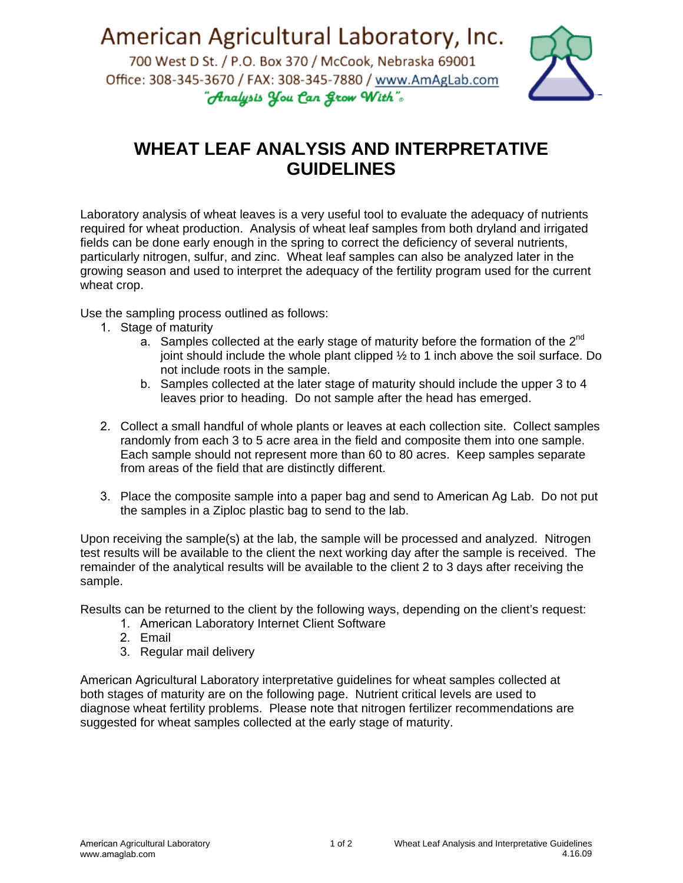American Agricultural Laboratory, Inc.

700 West D St. / P.O. Box 370 / McCook, Nebraska 69001 Office: 308-345-3670 / FAX: 308-345-7880 / www.AmAgLab.com "Analysis You Can Grow With".



## **WHEAT LEAF ANALYSIS AND INTERPRETATIVE GUIDELINES**

Laboratory analysis of wheat leaves is a very useful tool to evaluate the adequacy of nutrients required for wheat production. Analysis of wheat leaf samples from both dryland and irrigated fields can be done early enough in the spring to correct the deficiency of several nutrients, particularly nitrogen, sulfur, and zinc. Wheat leaf samples can also be analyzed later in the growing season and used to interpret the adequacy of the fertility program used for the current wheat crop.

Use the sampling process outlined as follows:

- 1. Stage of maturity
	- a. Samples collected at the early stage of maturity before the formation of the  $2<sup>nd</sup>$ joint should include the whole plant clipped ½ to 1 inch above the soil surface. Do not include roots in the sample.
	- b. Samples collected at the later stage of maturity should include the upper 3 to 4 leaves prior to heading. Do not sample after the head has emerged.
- 2. Collect a small handful of whole plants or leaves at each collection site. Collect samples randomly from each 3 to 5 acre area in the field and composite them into one sample. Each sample should not represent more than 60 to 80 acres. Keep samples separate from areas of the field that are distinctly different.
- 3. Place the composite sample into a paper bag and send to American Ag Lab. Do not put the samples in a Ziploc plastic bag to send to the lab.

Upon receiving the sample(s) at the lab, the sample will be processed and analyzed. Nitrogen test results will be available to the client the next working day after the sample is received. The remainder of the analytical results will be available to the client 2 to 3 days after receiving the sample.

Results can be returned to the client by the following ways, depending on the client's request:

- 1. American Laboratory Internet Client Software
- 2. Email
- 3. Regular mail delivery

American Agricultural Laboratory interpretative guidelines for wheat samples collected at both stages of maturity are on the following page. Nutrient critical levels are used to diagnose wheat fertility problems. Please note that nitrogen fertilizer recommendations are suggested for wheat samples collected at the early stage of maturity.